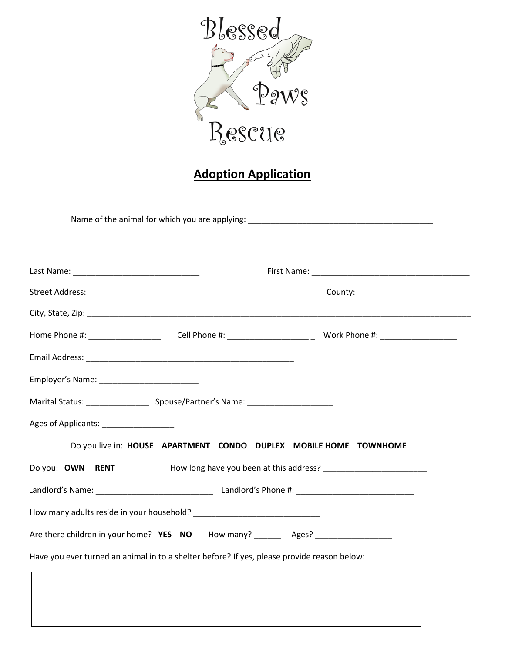

## **Adoption Application**

Name of the animal for which you are applying: \_\_\_\_\_\_\_\_\_\_\_\_\_\_\_\_\_\_\_\_\_\_\_\_\_\_\_\_\_\_\_\_\_\_

| Home Phone #: ______________________  Cell Phone #: ____________________________ Work Phone #: _______________ |                                                                                                                                                           |  |  |  |  |
|----------------------------------------------------------------------------------------------------------------|-----------------------------------------------------------------------------------------------------------------------------------------------------------|--|--|--|--|
|                                                                                                                |                                                                                                                                                           |  |  |  |  |
|                                                                                                                |                                                                                                                                                           |  |  |  |  |
| Marital Status: ________________________________Spouse/Partner's Name: ____________________________            |                                                                                                                                                           |  |  |  |  |
| Ages of Applicants: ________________                                                                           |                                                                                                                                                           |  |  |  |  |
| Do you live in: HOUSE APARTMENT CONDO DUPLEX MOBILE HOME TOWNHOME                                              |                                                                                                                                                           |  |  |  |  |
| Do you: OWN RENT                                                                                               | How long have you been at this address?<br>The manufacturer of the manufacturer of the manufacturer of the manufacturer of the manufacturer of the manufa |  |  |  |  |
|                                                                                                                |                                                                                                                                                           |  |  |  |  |
|                                                                                                                |                                                                                                                                                           |  |  |  |  |
| Are there children in your home? YES NO How many? _______ Ages? ________________                               |                                                                                                                                                           |  |  |  |  |
| Have you ever turned an animal in to a shelter before? If yes, please provide reason below:                    |                                                                                                                                                           |  |  |  |  |
|                                                                                                                |                                                                                                                                                           |  |  |  |  |
|                                                                                                                |                                                                                                                                                           |  |  |  |  |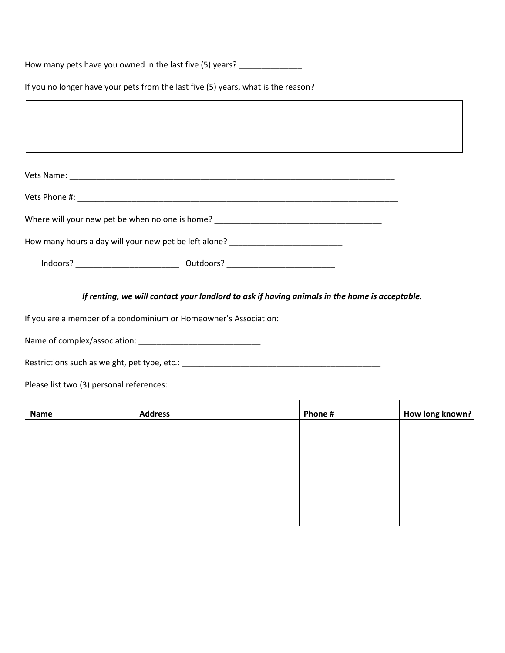How many pets have you owned in the last five (5) years? \_\_\_\_\_\_\_\_\_\_\_\_\_\_\_\_\_

If you no longer have your pets from the last five (5) years, what is the reason?

| Where will your new pet be when no one is home? _________________________________ |  |  |
|-----------------------------------------------------------------------------------|--|--|
| How many hours a day will your new pet be left alone? __________________________  |  |  |
|                                                                                   |  |  |

*If renting, we will contact your landlord to ask if having animals in the home is acceptable.*

If you are a member of a condominium or Homeowner's Association:

Name of complex/association: \_\_\_\_\_\_\_\_\_\_\_\_\_\_\_\_\_\_\_\_\_\_\_\_\_\_\_

Restrictions such as weight, pet type, etc.: \_\_\_\_\_\_\_\_\_\_\_\_\_\_\_\_\_\_\_\_\_\_\_\_\_\_\_\_\_\_\_\_\_\_\_\_\_\_\_\_\_\_\_\_

Please list two (3) personal references:

| <b>Name</b> | <b>Address</b> | Phone # | How long known? |
|-------------|----------------|---------|-----------------|
|             |                |         |                 |
|             |                |         |                 |
|             |                |         |                 |
|             |                |         |                 |
|             |                |         |                 |
|             |                |         |                 |